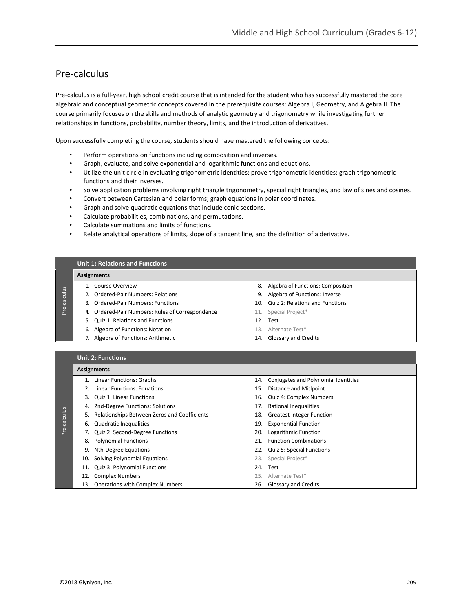# Pre-calculus

Pre-calculus is a full-year, high school credit course that is intended for the student who has successfully mastered the core algebraic and conceptual geometric concepts covered in the prerequisite courses: Algebra I, Geometry, and Algebra II. The course primarily focuses on the skills and methods of analytic geometry and trigonometry while investigating further relationships in functions, probability, number theory, limits, and the introduction of derivatives.

Upon successfully completing the course, students should have mastered the following concepts:

- Perform operations on functions including composition and inverses.
- Graph, evaluate, and solve exponential and logarithmic functions and equations.
- Utilize the unit circle in evaluating trigonometric identities; prove trigonometric identities; graph trigonometric functions and their inverses.
- Solve application problems involving right triangle trigonometry, special right triangles, and law of sines and cosines.
- Convert between Cartesian and polar forms; graph equations in polar coordinates.
- Graph and solve quadratic equations that include conic sections.
- Calculate probabilities, combinations, and permutations.
- Calculate summations and limits of functions.
- Relate analytical operations of limits, slope of a tangent line, and the definition of a derivative.

## **Unit 1: Relations and Functions**

### **Assignments**

Pre-calculus

Pre-calculus

- 
- 2. Ordered-Pair Numbers: Relations 6. Algebra of Functions: Inverse
- 
- 4. Ordered-Pair Numbers: Rules of Correspondence 11. Special Project\*
- 5. Quiz 1: Relations and Functions 12. Test
- 6. Algebra of Functions: Notation 13. Alternate Test\*
- 7. Algebra of Functions: Arithmetic 14. Glossary and Credits
- 1. Course Overview 8. Algebra of Functions: Composition
	-
- 3. Ordered-Pair Numbers: Functions 10. Quiz 2: Relations and Functions
	-
	-
	-
	-

### **Unit 2: Functions**

### **Assignments**

- 
- 2. Linear Functions: Equations 15. Distance and Midpoint
- 
- 4. 2nd-Degree Functions: Solutions 17. Rational Inequalities
- 5. Relationships Between Zeros and Coefficients 18. Greatest Integer Function
- 6. Quadratic Inequalities 19. Exponential Function
- 7. Quiz 2: Second-Degree Functions 20. Logarithmic Function
	-
	-
	- 10. Solving Polynomial Equations 23. Special Project\*
	- 11. Quiz 3: Polynomial Functions 24. Test
	- 12. Complex Numbers 25. Alternate Test\*
	- 13. Operations with Complex Numbers 26. Glossary and Credits
- 1. Linear Functions: Graphs 14. Conjugates and Polynomial Identities
	-
- 3. Quiz 1: Linear Functions 16. Quiz 4: Complex Numbers
	-
	-
	-
	-
- 8. Polynomial Functions 21. Function Combinations
- 9. Nth-Degree Equations 22. Quiz 5: Special Functions
	-
	-
	-
	-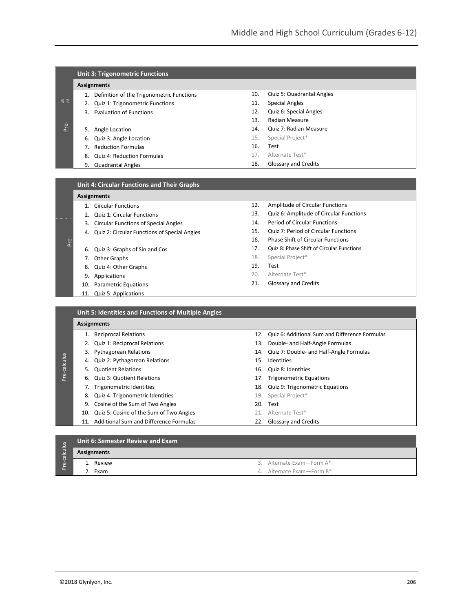|                             | <b>Unit 3: Trigonometric Functions</b> |                                           |     |                           |  |  |
|-----------------------------|----------------------------------------|-------------------------------------------|-----|---------------------------|--|--|
|                             | <b>Assignments</b>                     |                                           |     |                           |  |  |
|                             |                                        | Definition of the Trigonometric Functions | 10. | Quiz 5: Quadrantal Angles |  |  |
| $\frac{1}{6}$ $\frac{3}{2}$ |                                        | Quiz 1: Trigonometric Functions           | 11. | <b>Special Angles</b>     |  |  |
|                             | 3.                                     | Evaluation of Functions                   | 12. | Quiz 6: Special Angles    |  |  |
|                             |                                        |                                           | 13. | Radian Measure            |  |  |
| <b>Pre-</b>                 | 5.                                     | Angle Location                            | 14. | Quiz 7: Radian Measure    |  |  |
|                             | 6.                                     | Quiz 3: Angle Location                    | 15. | Special Project*          |  |  |
|                             |                                        | <b>Reduction Formulas</b>                 | 16. | Test                      |  |  |
|                             | 8.                                     | <b>Quiz 4: Reduction Formulas</b>         | 17. | Alternate Test*           |  |  |
|                             | 9.                                     | <b>Quadrantal Angles</b>                  | 18. | Glossary and Credits      |  |  |
|                             |                                        |                                           |     |                           |  |  |

## **Unit 4: Circular Functions and Their Graphs**

|      | <u>UMIL 4. Chicular Functions and Their Oraphs</u> |                                              |  |  |  |
|------|----------------------------------------------------|----------------------------------------------|--|--|--|
|      |                                                    | <b>Assignments</b>                           |  |  |  |
|      | 1 <sup>1</sup>                                     | <b>Circular Functions</b>                    |  |  |  |
|      | 2.                                                 | <b>Quiz 1: Circular Functions</b>            |  |  |  |
|      | 3.                                                 | <b>Circular Functions of Special Angles</b>  |  |  |  |
|      | 4.                                                 | Quiz 2: Circular Functions of Special Angles |  |  |  |
| Pre- |                                                    |                                              |  |  |  |
|      | 6.                                                 | Quiz 3: Graphs of Sin and Cos                |  |  |  |
|      |                                                    | 7. Other Graphs                              |  |  |  |
|      | 8.                                                 | Quiz 4: Other Graphs                         |  |  |  |
|      | 9.                                                 | Applications                                 |  |  |  |
|      |                                                    | 10. Parametric Equations                     |  |  |  |
|      | 11.                                                | Quiz 5: Applications                         |  |  |  |
|      |                                                    |                                              |  |  |  |
|      |                                                    |                                              |  |  |  |

- 12. Amplitude of Circular Functions
- 13. Quiz 6: Amplitude of Circular Functions
- 14. Period of Circular Functions
- 15. Quiz 7: Period of Circular Functions
- 16. Phase Shift of Circular Functions
- 17. Quiz 8: Phase Shift of Circular Functions
- 18. Special Project\*
- 19. Test
- 20. Alternate Test\*
- 21. Glossary and Credits

|            | <b>Assignments</b> |                                            |     |                                                |  |  |  |
|------------|--------------------|--------------------------------------------|-----|------------------------------------------------|--|--|--|
|            | 1.                 | <b>Reciprocal Relations</b>                | 12. | Quiz 6: Additional Sum and Difference Formulas |  |  |  |
|            |                    | 2. Quiz 1: Reciprocal Relations            | 13. | Double- and Half-Angle Formulas                |  |  |  |
|            |                    | 3. Pythagorean Relations                   |     | 14. Quiz 7: Double- and Half-Angle Formulas    |  |  |  |
| -calculus  | 4.                 | Quiz 2: Pythagorean Relations              | 15. | Identities                                     |  |  |  |
|            | 5.                 | <b>Quotient Relations</b>                  |     | 16. Quiz 8: Identities                         |  |  |  |
| <u>Pre</u> | 6.                 | Quiz 3: Quotient Relations                 |     | 17. Trigonometric Equations                    |  |  |  |
|            |                    | 7. Trigonometric Identities                | 18. | Quiz 9: Trigonometric Equations                |  |  |  |
|            | 8.                 | Quiz 4: Trigonometric Identities           | 19. | Special Project*                               |  |  |  |
|            | 9.                 | Cosine of the Sum of Two Angles            | 20. | Test                                           |  |  |  |
|            | 10.                | Quiz 5: Cosine of the Sum of Two Angles    |     | 21. Alternate Test*                            |  |  |  |
|            |                    | 11. Additional Sum and Difference Formulas |     | 22. Glossary and Credits                       |  |  |  |

| S<br>$\overline{\omega}$<br>쿙 | Unit 6: Semester Review and Exam |                             |  |  |  |
|-------------------------------|----------------------------------|-----------------------------|--|--|--|
|                               | Assignments                      |                             |  |  |  |
| $\omega$                      | Review                           | 3. Alternate Exam - Form A* |  |  |  |
|                               | Exam                             | 4. Alternate Exam-Form B*   |  |  |  |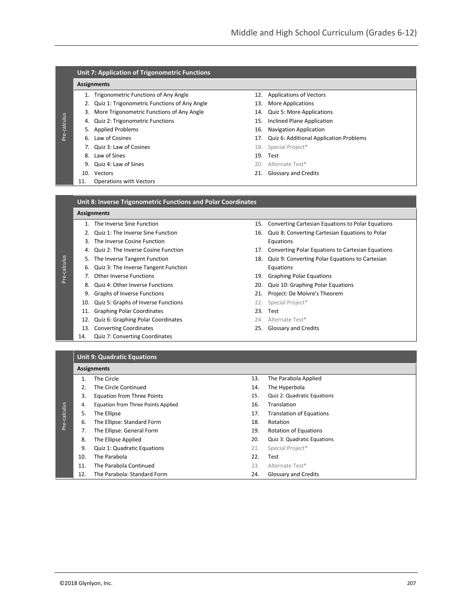## **Unit 7: Application of Trigonometric Functions**

## **Assignments**

Pre-calculus

Pre-calculus

- 1. Trigonometric Functions of Any Angle 12. Applications of Vectors
- 2. Quiz 1: Trigonometric Functions of Any Angle 13. More Applications
- 3. More Trigonometric Functions of Any Angle 14. Quiz 5: More Applications
- 4. Quiz 2: Trigonometric Functions 15. Inclined Plane Application
- 5. Applied Problems 16. Navigation Application
- 
- 7. Quiz 3: Law of Cosines 18. Special Project\*
- 8. Law of Sines 19. Test
- 9. Quiz 4: Law of Sines 20. Alternate Test\*
- 
- 11. Operations with Vectors
- 
- 
- 
- 
- 
- 6. Law of Cosines 17. Quiz 6: Additional Application Problems
	-
	-
	-
- 10. Vectors 21. Glossary and Credits

| <b>Unit 8: Inverse Trigonometric Functions and Polar Coordinates</b> |  |  |
|----------------------------------------------------------------------|--|--|
|                                                                      |  |  |

#### **Assignments**

- 
- 
- 3. The Inverse Cosine Function **Equations** Equations
- 
- 
- 6. Quiz 3: The Inverse Tangent Function **Equations**
- -
	-
	- 10. Quiz 5: Graphs of Inverse Functions 22. Special Project\*
	- 11. Graphing Polar Coordinates 23. Test
	- 12. Quiz 6: Graphing Polar Coordinates 24. Alternate Test\*
	- 13. Converting Coordinates 25. Glossary and Credits
	- 14. Quiz 7: Converting Coordinates
- 1. The Inverse Sine Function 15. Converting Cartesian Equations to Polar Equations
- 2. Quiz 1: The Inverse Sine Function 16. Quiz 8: Converting Cartesian Equations to Polar
- 4. Quiz 2: The Inverse Cosine Function 17. Converting Polar Equations to Cartesian Equations
- 5. The Inverse Tangent Function 18. Quiz 9: Converting Polar Equations to Cartesian
- 7. Other Inverse Functions **19. Community** 19. Graphing Polar Equations
- 8. Quiz 4: Other Inverse Functions 20. Quiz 10: Graphing Polar Equations
- 9. Graphs of Inverse Functions 21. Project: De Moivre's Theorem
	-
	-
	-
	-

### **Unit 9: Quadratic Equations**

|              |     | <b>Assignments</b>                        |     |                                 |
|--------------|-----|-------------------------------------------|-----|---------------------------------|
|              | 1.  | The Circle                                | 13. | The Parabola Applied            |
|              | 2.  | The Circle Continued                      | 14. | The Hyperbola                   |
|              | 3.  | <b>Equation from Three Points</b>         | 15. | Quiz 2: Quadratic Equations     |
|              | 4.  | <b>Equation from Three Points Applied</b> | 16. | Translation                     |
|              | 5.  | The Ellipse                               | 17. | <b>Translation of Equations</b> |
| Pre-calculus | 6.  | The Ellipse: Standard Form                | 18. | Rotation                        |
|              | 7.  | The Ellipse: General Form                 | 19. | <b>Rotation of Equations</b>    |
|              | 8.  | The Ellipse Applied                       | 20. | Quiz 3: Quadratic Equations     |
|              | 9.  | Quiz 1: Quadratic Equations               | 21. | Special Project*                |
|              | 10. | The Parabola                              | 22. | Test                            |
|              | 11. | The Parabola Continued                    | 23. | Alternate Test*                 |
|              | 12. | The Parabola: Standard Form               | 24. | <b>Glossary and Credits</b>     |